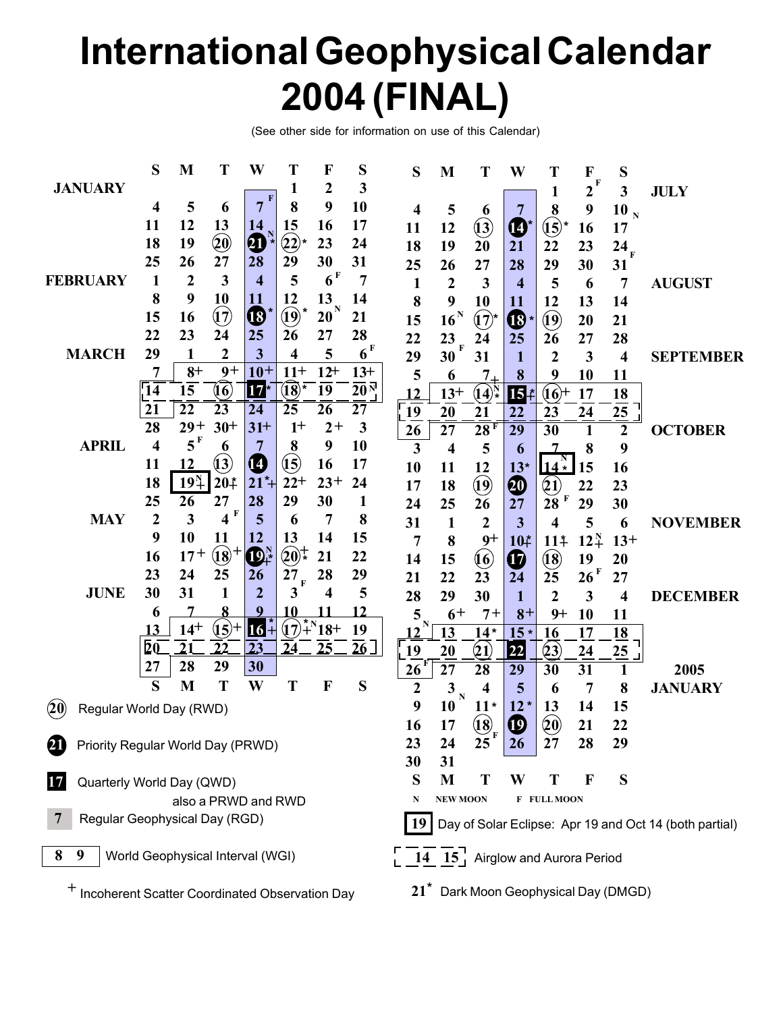# **International Geophysical Calendar 2004 (FINAL)**

(See other side for information on use of this Calendar)

|                                                                                                           |                                   | S                       | M                                | T               | W                | T                          | F                                               | S                   | S                | M                                                                 | T                               | W                                          | Т                          | F                | S                       |                  |
|-----------------------------------------------------------------------------------------------------------|-----------------------------------|-------------------------|----------------------------------|-----------------|------------------|----------------------------|-------------------------------------------------|---------------------|------------------|-------------------------------------------------------------------|---------------------------------|--------------------------------------------|----------------------------|------------------|-------------------------|------------------|
|                                                                                                           | <b>JANUARY</b>                    |                         |                                  |                 |                  | 1                          | 2                                               | 3                   |                  |                                                                   |                                 |                                            | 1                          | F<br>$\mathbf 2$ | 3                       | <b>JULY</b>      |
|                                                                                                           |                                   | 4                       | 5                                | 6               | $\mathbf F$<br>7 | 8                          | 9                                               | 10                  | 4                | 5                                                                 | 6                               |                                            | 8                          | 9                | 10 <sub>N</sub>         |                  |
|                                                                                                           |                                   | 11                      | 12                               | 13              | 14               | 15                         | 16                                              | 17                  | 11               | 12                                                                | $\ddot{\mathbf{13}}$            | $\boldsymbol{\boldsymbol{\boldsymbol{0}}}$ | $\mathfrak{t}\mathfrak{z}$ | 16               | 17                      |                  |
|                                                                                                           |                                   | 18                      | 19                               | $\circledcirc$  | 40               | $\bigcirc 2$ <sup>*</sup>  | 23                                              | 24                  | 18               | 19                                                                | 20                              | 21                                         | 22                         | 23               | $24_{\rm F}$            |                  |
|                                                                                                           |                                   | 25                      | 26                               | 27              | 28               | 29                         | 30                                              | 31                  | 25               | 26                                                                | 27                              | 28                                         | 29                         | 30               | 31                      |                  |
| <b>FEBRUARY</b>                                                                                           |                                   | 1                       | $\overline{2}$                   | 3               | $\boldsymbol{4}$ | 5                          | 6 <sup>F</sup>                                  | 7                   | 1                | $\boldsymbol{2}$                                                  | 3                               | $\overline{\mathbf{4}}$                    | 5                          | 6                | 7                       | <b>AUGUST</b>    |
|                                                                                                           |                                   | 8                       | 9                                | 10              | 11               | 12                         | 13                                              | 14                  | 8                | 9                                                                 | 10                              | 11                                         | 12                         | 13               | 14                      |                  |
|                                                                                                           |                                   | 15                      | 16                               | $\mathfrak{v}$  | $\bigcirc$       | $\mathbf{Q}$               | $20^{\mathrm{N}}$                               | 21                  | 15               | $16^{\mathrm{N}}$                                                 | $(17)$ *                        | $\mathbf{C}^*$                             | $\bf \widehat{19}$         | 20               | 21                      |                  |
|                                                                                                           |                                   | 22                      | 23                               | 24              | 25               | 26                         | 27                                              | 28                  | 22               | 23<br>$\overline{\mathbf{F}}$                                     | 24                              | 25                                         | 26                         | 27               | 28                      |                  |
|                                                                                                           | <b>MARCH</b>                      | 29                      | 1                                | $\overline{2}$  | 3                | $\overline{\mathbf{4}}$    | 5                                               | 6 <sup>F</sup>      | 29               | 30                                                                | 31                              | 1                                          | $\boldsymbol{2}$           | 3                | $\overline{\mathbf{4}}$ | <b>SEPTEMBER</b> |
|                                                                                                           |                                   |                         | $8+$                             | $9+$            | $10+$            | $11+$                      | $12+$                                           | $13+$               | 5                | 6                                                                 | $7_{-}$                         | 8                                          | 9                          | 10               | 11                      |                  |
|                                                                                                           |                                   | $\overline{14}$         | 15                               | (16)            | $17*$            | $\overline{(18)}$ *        | $\overline{19}$                                 | $20^{\overline{N}}$ | 12               | $13+$                                                             | $(14)^{N}_{*}$                  | $\overline{\mathbf{15}}$ #                 | $(16) +$                   | 17               | 18                      |                  |
|                                                                                                           |                                   | 21                      | $\overline{22}$                  | $\overline{23}$ | 24               | 25                         | 26                                              | 27                  | 19               | 20                                                                | 21                              | 22                                         | 23                         | 24               | 25                      |                  |
|                                                                                                           |                                   | 28                      | $29+$                            | $30+$           | $31+$            | $1+$                       | $2+$                                            | 3                   | 26               | 27                                                                | 28F                             | 29                                         | 30                         | 1                | $\boldsymbol{2}$        | <b>OCTOBER</b>   |
|                                                                                                           | <b>APRIL</b>                      | $\overline{\mathbf{4}}$ | $5^F$                            | 6               | 7                | 8                          | 9                                               | 10                  | 3                | 4                                                                 | 5                               | 6                                          |                            | 8                | 9                       |                  |
|                                                                                                           |                                   | 11                      | 12                               | (13)            | 14               | $\mathbf{\overline{(15)}}$ | 16                                              | 17                  | 10               | 11                                                                | 12                              | $13*$                                      | $14^{\frac{N}{*}}$         | 15               | 16                      |                  |
|                                                                                                           |                                   | 18                      | $19^{N}_{+}$                     | $20*$           | $21*$            | $22+$                      | $23+$                                           | 24                  | 17               | 18                                                                | $\bigcirc$                      | 20                                         | $\left( 1\right)$          | 22               | 23                      |                  |
|                                                                                                           |                                   | 25                      | 26                               | 27              | 28               | 29                         | 30                                              | 1                   | 24               | 25                                                                | 26                              | 27                                         | 28                         | 29               | 30                      |                  |
|                                                                                                           | <b>MAY</b>                        | $\overline{2}$          | 3                                | 4F              | 5                | 6                          | 7                                               | 8                   | 31               | $\mathbf{1}$                                                      | $\boldsymbol{2}$                | 3                                          | 4                          | 5                | 6                       | <b>NOVEMBER</b>  |
|                                                                                                           |                                   | 9                       | 10                               | 11              | 12               | 13                         | 14                                              | 15                  | $\overline{7}$   | 8                                                                 | $9+$                            | 10#                                        | 11 <sup>‡</sup>            | $12^{N}_{+}$     | $13+$                   |                  |
|                                                                                                           |                                   | 16                      | $17^{+}$                         | $\vec{18}^+$    | $\mathbf{D}^N_+$ | $(20)^+$                   | 21                                              | 22                  | 14               | 15                                                                | $\boldsymbol{\left( 6\right) }$ | $\boldsymbol{\boldsymbol{\boldsymbol{G}}}$ | $\mathbf{\hat{18}}$        | 19               | 20                      |                  |
|                                                                                                           |                                   | 23                      | 24                               | 25              | <b>26</b>        | 27<br>$\mathbf F$          | 28                                              | 29                  | 21               | 22                                                                | 23                              | 24                                         | 25                         | 26 F             | 27                      |                  |
|                                                                                                           | <b>JUNE</b>                       | 30                      | 31                               | 1               | $\overline{2}$   | 3                          | 4                                               | 5                   | 28               | 29                                                                | 30                              | 1                                          | $\overline{2}$             | 3                | 4                       | <b>DECEMBER</b>  |
|                                                                                                           |                                   | 6                       |                                  |                 | 9                | 10                         |                                                 | 12                  | 5                | $6+$                                                              | $7+$                            | $8+$                                       | $9+$                       | 10               | 11                      |                  |
|                                                                                                           |                                   | 13                      | $14^{+}$                         | $(15) +$        | 16 <sup>2</sup>  |                            | $(\widehat{17})^*$ <sup>N</sup> 18 <sup>+</sup> | 19                  | N<br>12          | 13                                                                | $14*$                           | $15*$                                      | 16                         | 17               | 18                      |                  |
|                                                                                                           |                                   | $\bar{2}\bar{0}$        | $\overline{2}1$                  | 22              | $\overline{23}$  | $\overline{24}$            | 25                                              | $\overline{26}$     | 19               | 20                                                                | $\bf(21)$                       | 22                                         | (23)                       | 24               | 25                      |                  |
|                                                                                                           |                                   | 27                      | 28                               | 29              | 30               |                            |                                                 |                     | 26               | $\overline{27}$                                                   | $\overline{28}$                 | 29                                         | $\overline{30}$            | $\overline{31}$  |                         | 2005             |
|                                                                                                           |                                   | S                       | M                                | T               | W                | T                          | F                                               | S                   | $\boldsymbol{2}$ | 3<br>$\mathbf N$                                                  | 4                               | 5                                          | 6                          | 7                | 8                       | <b>JANUARY</b>   |
| (20)                                                                                                      | Regular World Day (RWD)           |                         |                                  |                 |                  |                            |                                                 |                     | 9                | 10                                                                | $11*$                           | $12*$                                      | 13                         | 14               | 15                      |                  |
|                                                                                                           |                                   |                         |                                  |                 |                  |                            |                                                 |                     | 16               | 17                                                                | $\mathbf{(18)}$                 | $\boldsymbol{\Phi}$                        | $\left( 20 \right)$        | 21               | 22                      |                  |
| 21                                                                                                        | Priority Regular World Day (PRWD) |                         |                                  |                 |                  |                            |                                                 |                     |                  | 24                                                                | 25                              | 26                                         | 27                         | 28               | 29                      |                  |
|                                                                                                           |                                   |                         |                                  |                 |                  |                            |                                                 |                     | 30               | 31                                                                |                                 |                                            |                            |                  |                         |                  |
|                                                                                                           | Quarterly World Day (QWD)         |                         |                                  |                 |                  |                            |                                                 |                     | S                | M                                                                 | Т                               | W                                          | T                          | F                | S                       |                  |
|                                                                                                           | also a PRWD and RWD               |                         |                                  |                 |                  |                            |                                                 |                     | N                | <b>NEW MOON</b>                                                   |                                 |                                            | <b>F FULL MOON</b>         |                  |                         |                  |
| Regular Geophysical Day (RGD)<br><b>19</b><br>Day of Solar Eclipse: Apr 19 and Oct 14 (both partial)      |                                   |                         |                                  |                 |                  |                            |                                                 |                     |                  |                                                                   |                                 |                                            |                            |                  |                         |                  |
|                                                                                                           |                                   |                         |                                  |                 |                  |                            |                                                 |                     |                  |                                                                   |                                 |                                            |                            |                  |                         |                  |
| 8<br>9                                                                                                    |                                   |                         | World Geophysical Interval (WGI) |                 |                  |                            |                                                 |                     |                  | $\begin{bmatrix} 14 & 15 \end{bmatrix}$ Airglow and Aurora Period |                                 |                                            |                            |                  |                         |                  |
|                                                                                                           |                                   |                         |                                  |                 |                  |                            |                                                 |                     |                  |                                                                   |                                 |                                            |                            |                  |                         |                  |
| Dark Moon Geophysical Day (DMGD)<br>$21^*$<br><sup>+</sup> Incoherent Scatter Coordinated Observation Day |                                   |                         |                                  |                 |                  |                            |                                                 |                     |                  |                                                                   |                                 |                                            |                            |                  |                         |                  |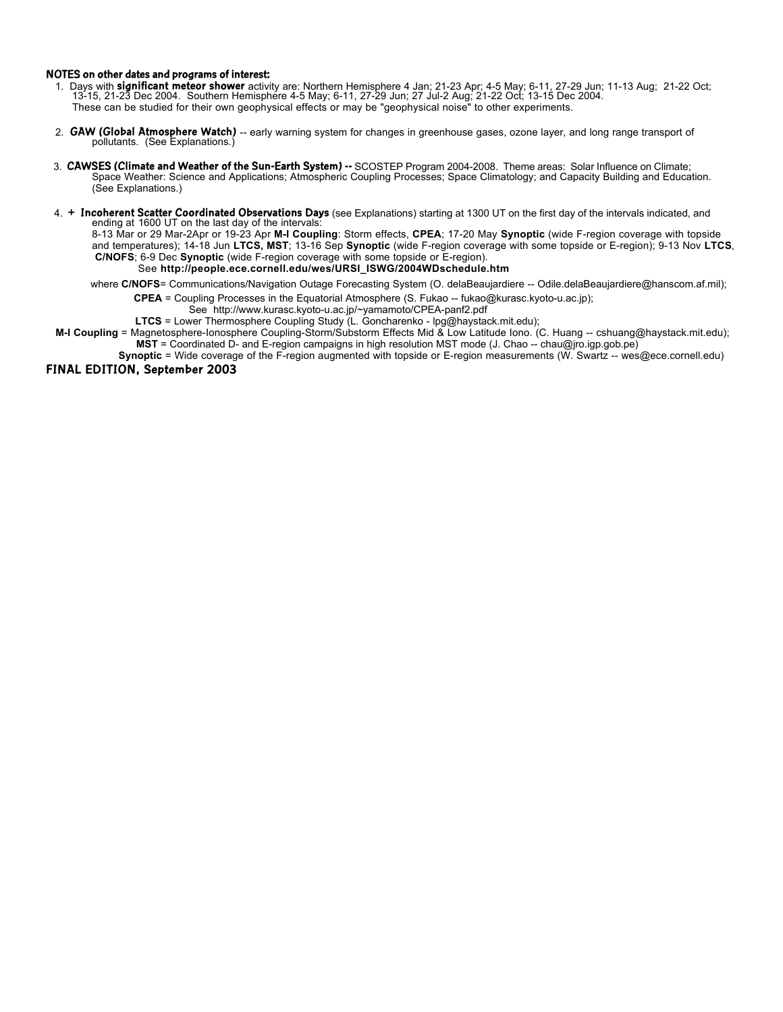#### **NOTES on other dates and programs of interest:**

- 1. Days with **significant meteor shower** activity are: Northern Hemisphere 4 Jan; 21-23 Apr; 4-5 May; 6-11, 27-29 Jun; 11-13 Aug; 21-22 Oct;<br>13-15, 21-23 Dec 2004. Southern Hemisphere 4-5 May; 6-11, 27-29 Jun; 27 Jul-2 Aug These can be studied for their own geophysical effects or may be "geophysical noise" to other experiments.
- 2. **GAW (Global Atmosphere Watch)** -- early warning system for changes in greenhouse gases, ozone layer, and long range transport of pollutants. (See Explanations.)
- 3. CAWSES (Climate and Weather of the Sun-Earth System) -- SCOSTEP Program 2004-2008. Theme areas: Solar Influence on Climate;<br>Space Weather: Science and Applications; Atmospheric Coupling Processes; Space Climatology; and (See Explanations.)
- 4. **+ Incoherent Scatter Coordinated Observations Days** (see Explanations) starting at 1300 UT on the first day of the intervals indicated, and ending at 1600 UT on the last day of the intervals:

8-13 Mar or 29 Mar-2Apr or 19-23 Apr **M-I Coupling**: Storm effects, **CPEA**; 17-20 May **Synoptic** (wide F-region coverage with topside and temperatures); 14-18 Jun **LTCS, MST**; 13-16 Sep **Synoptic** (wide F-region coverage with some topside or E-region); 9-13 Nov **LTCS**, **C/NOFS**; 6-9 Dec **Synoptic** (wide F-region coverage with some topside or E-region). See **http://people.ece.cornell.edu/wes/URSI\_ISWG/2004WDschedule.htm**

where C/NOFS= Communications/Navigation Outage Forecasting System (O. delaBeaujardiere -- Odile.delaBeaujardiere@hanscom.af.mil);

 **CPEA** = Coupling Processes in the Equatorial Atmosphere (S. Fukao -- fukao@kurasc.kyoto-u.ac.jp);

See http://www.kurasc.kyoto-u.ac.jp/~yamamoto/CPEA-panf2.pdf

**LTCS** = Lower Thermosphere Coupling Study (L. Goncharenko - lpg@haystack.mit.edu);

- **M-I Coupling** = Magnetosphere-Ionosphere Coupling-Storm/Substorm Effects Mid & Low Latitude Iono. (C. Huang -- cshuang@haystack.mit.edu); **MST** = Coordinated D- and E-region campaigns in high resolution MST mode (J. Chao -- chau@jro.igp.gob.pe)
- **Synoptic** = Wide coverage of the F-region augmented with topside or E-region measurements (W. Swartz -- wes@ece.cornell.edu)

## **FINAL EDITION, September 2003**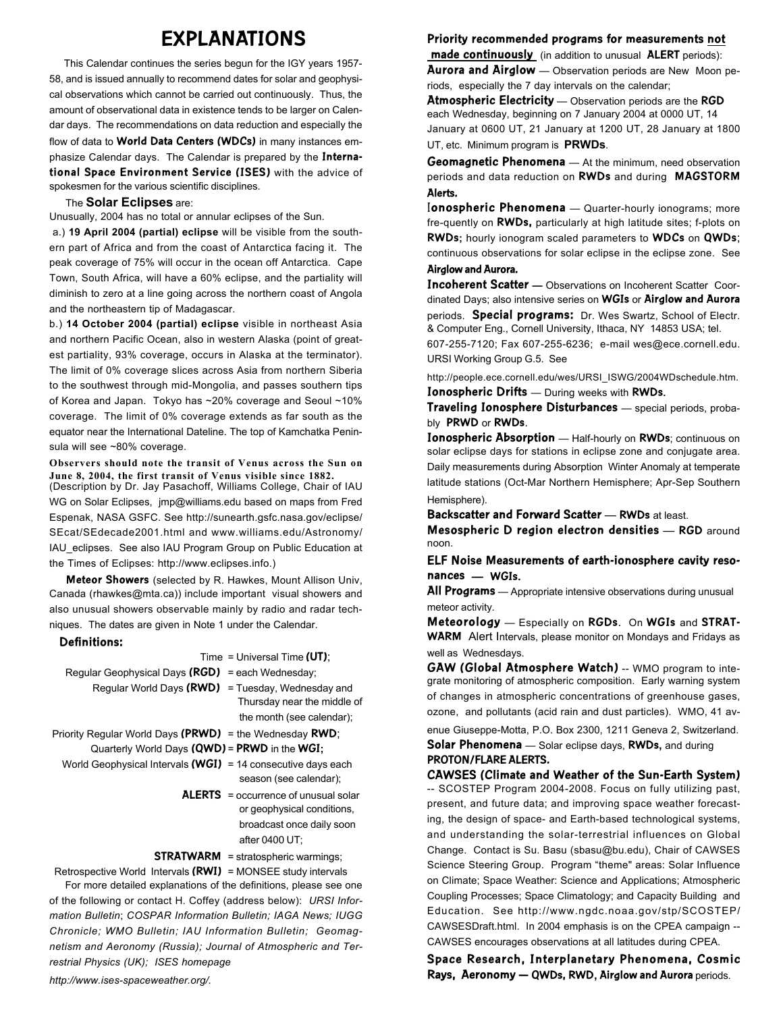# **EXPLANATIONS**

 This Calendar continues the series begun for the IGY years 1957- 58, and is issued annually to recommend dates for solar and geophysical observations which cannot be carried out continuously. Thus, the amount of observational data in existence tends to be larger on Calendar days. The recommendations on data reduction and especially the flow of data to **World Data Centers (WDCs)** in many instances emphasize Calendar days. The Calendar is prepared by the **International Space Environment Service (ISES)** with the advice of spokesmen for the various scientific disciplines.

## The **Solar Eclipses** are:

Unusually, 2004 has no total or annular eclipses of the Sun.

 a.) **19 April 2004 (partial) eclipse** will be visible from the southern part of Africa and from the coast of Antarctica facing it. The peak coverage of 75% will occur in the ocean off Antarctica. Cape Town, South Africa, will have a 60% eclipse, and the partiality will diminish to zero at a line going across the northern coast of Angola and the northeastern tip of Madagascar.

b.) **14 October 2004 (partial) eclipse** visible in northeast Asia and northern Pacific Ocean, also in western Alaska (point of greatest partiality, 93% coverage, occurs in Alaska at the terminator). The limit of 0% coverage slices across Asia from northern Siberia to the southwest through mid-Mongolia, and passes southern tips of Korea and Japan. Tokyo has ~20% coverage and Seoul ~10% coverage. The limit of 0% coverage extends as far south as the equator near the International Dateline. The top of Kamchatka Peninsula will see ~80% coverage.

**Observers should note the transit of Venus across the Sun on June 8, 2004, the first transit of Venus visible since 1882.** (Description by Dr. Jay Pasachoff, Williams College, Chair of IAU WG on Solar Eclipses, jmp@williams.edu based on maps from Fred Espenak, NASA GSFC. See http://sunearth.gsfc.nasa.gov/eclipse/ SEcat/SEdecade2001.html and www.williams.edu/Astronomy/

IAU\_eclipses. See also IAU Program Group on Public Education at the Times of Eclipses: http://www.eclipses.info.)

 **Meteor Showers** (selected by R. Hawkes, Mount Allison Univ, Canada (rhawkes@mta.ca)) include important visual showers and also unusual showers observable mainly by radio and radar techniques. The dates are given in Note 1 under the Calendar.

## **Definitions:**

|                                                                | Time = Universal Time $(UT)$ ;             |
|----------------------------------------------------------------|--------------------------------------------|
| Reqular Geophysical Days ( $RGD$ ) = each Wednesday;           |                                            |
| Regular World Days $(RWD)$ = Tuesday, Wednesday and            |                                            |
|                                                                | Thursday near the middle of                |
|                                                                | the month (see calendar);                  |
| Priority Regular World Days (PRWD) = the Wednesday RWD;        |                                            |
| Quarterly World Days (QWD) = PRWD in the WGI;                  |                                            |
| World Geophysical Intervals $(WGI)$ = 14 consecutive days each |                                            |
|                                                                | season (see calendar);                     |
|                                                                | $ALERTS = occurrence of unusual solar$     |
|                                                                | or geophysical conditions.                 |
|                                                                | broadcast once daily soon                  |
|                                                                | after 0400 UT:                             |
|                                                                | <b>STRATWARM</b> = stratospheric warmings; |
|                                                                | $\cdots$                                   |

 Retrospective World Intervals **(RWI)** = MONSEE study intervals For more detailed explanations of the definitions, please see one of the following or contact H. Coffey (address below): *URSI Information Bulletin*; *COSPAR Information Bulletin; IAGA News; IUGG Chronicle; WMO Bulletin; IAU Information Bulletin; Geomagnetism and Aeronomy (Russia); Journal of Atmospheric and Terrestrial Physics (UK); ISES homepage*

#### *http://www.ises-spaceweather.org/.*

#### **Priority recommended programs for measurements not**

 **made continuously** (in addition to unusual **ALERT** periods): **Aurora and Airglow** — Observation periods are New Moon periods, especially the 7 day intervals on the calendar;

**Atmospheric Electricity** — Observation periods are the **RGD** each Wednesday, beginning on 7 January 2004 at 0000 UT, 14 January at 0600 UT, 21 January at 1200 UT, 28 January at 1800 UT, etc. Minimum program is **PRWDs**.

# **Geomagnetic Phenomena** — At the minimum, need observation periods and data reduction on **RWDs** and during **MAGSTORM Alerts.**

I**onospheric Phenomena** — Quarter-hourly ionograms; more fre-quently on **RWDs,** particularly at high latitude sites; f-plots on **RWDs;** hourly ionogram scaled parameters to **WDCs** on **QWDs**; continuous observations for solar eclipse in the eclipse zone. See

#### **Airglow and Aurora.**

**Incoherent Scatter —** Observations on Incoherent Scatter Coordinated Days; also intensive series on **WGIs** or **Airglow and Aurora**

periods. **Special programs:** Dr. Wes Swartz, School of Electr. & Computer Eng., Cornell University, Ithaca, NY 14853 USA; tel.

607-255-7120; Fax 607-255-6236; e-mail wes@ece.cornell.edu. URSI Working Group G.5. See

http://people.ece.cornell.edu/wes/URSI\_ISWG/2004WDschedule.htm. **Ionospheric Drifts** — During weeks with **RWDs.**

**Traveling Ionosphere Disturbances** — special periods, probably **PRWD** or **RWDs**.

**Ionospheric Absorption** — Half-hourly on **RWDs**; continuous on solar eclipse days for stations in eclipse zone and conjugate area. Daily measurements during Absorption Winter Anomaly at temperate latitude stations (Oct-Mar Northern Hemisphere; Apr-Sep Southern Hemisphere).

**Backscatter and Forward Scatter** — **RWDs** at least.

**Mesospheric D region electron densities** — **RGD** around noon.

**ELF Noise Measurements of earth-ionosphere cavity resonances — WGIs.**

**All Programs** — Appropriate intensive observations during unusual meteor activity.

**Meteorology** — Especially on **RGDs**. On **WGIs** and **STRAT-WARM** Alert Intervals, please monitor on Mondays and Fridays as well as Wednesdays.

**GAW (Global Atmosphere Watch)** -- WMO program to integrate monitoring of atmospheric composition. Early warning system of changes in atmospheric concentrations of greenhouse gases, ozone, and pollutants (acid rain and dust particles). WMO, 41 av-

enue Giuseppe-Motta, P.O. Box 2300, 1211 Geneva 2, Switzerland. **Solar Phenomena** — Solar eclipse days, **RWDs,** and during **PROTON/FLARE ALERTS.**

**CAWSES (Climate and Weather of the Sun-Earth System)** -- SCOSTEP Program 2004-2008. Focus on fully utilizing past, present, and future data; and improving space weather forecasting, the design of space- and Earth-based technological systems, and understanding the solar-terrestrial influences on Global Change. Contact is Su. Basu (sbasu@bu.edu), Chair of CAWSES Science Steering Group. Program "theme" areas: Solar Influence on Climate; Space Weather: Science and Applications; Atmospheric Coupling Processes; Space Climatology; and Capacity Building and Education. See http://www.ngdc.noaa.gov/stp/SCOSTEP/ CAWSESDraft.html. In 2004 emphasis is on the CPEA campaign -- CAWSES encourages observations at all latitudes during CPEA.

**Space Research, Interplanetary Phenomena, Cosmic Rays, Aeronomy — QWDs, RWD, Airglow and Aurora** periods.